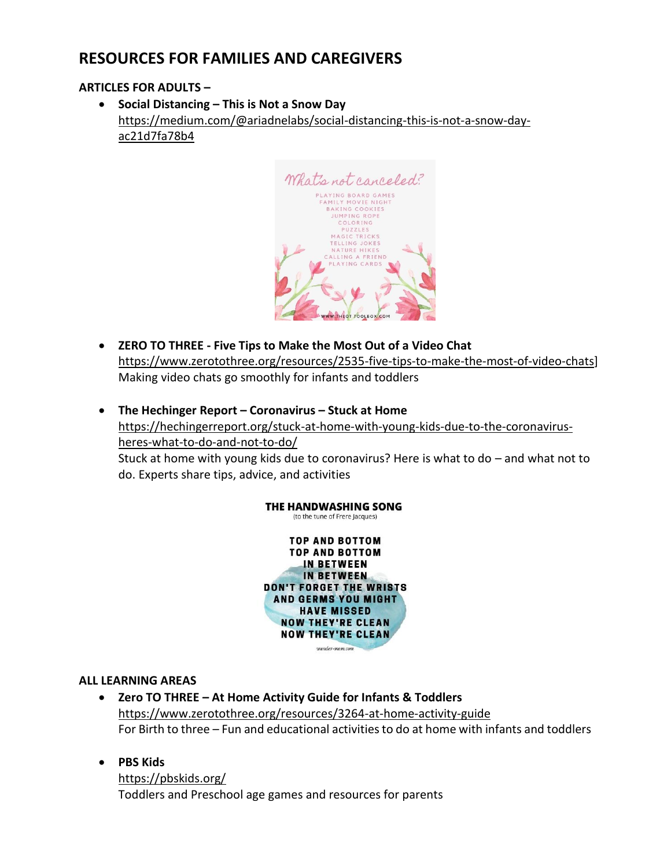# **RESOURCES FOR FAMILIES AND CAREGIVERS**

## **ARTICLES FOR ADULTS –**

• **Social Distancing – This is Not a Snow Day** [https://medium.com/@ariadnelabs/social-distancing-this-is-not-a-snow-day](https://medium.com/@ariadnelabs/social-distancing-this-is-not-a-snow-day-ac21d7fa78b4)[ac21d7fa78b4](https://medium.com/@ariadnelabs/social-distancing-this-is-not-a-snow-day-ac21d7fa78b4)



- **ZERO TO THREE - Five Tips to Make the Most Out of a Video Chat** [https://www.zerotothree.org/resources/2535-five-tips-to-make-the-most-of-video-chats\]](https://www.zerotothree.org/resources/2535-five-tips-to-make-the-most-of-video-chats) Making video chats go smoothly for infants and toddlers
- **The Hechinger Report – Coronavirus – Stuck at Home** [https://hechingerreport.org/stuck-at-home-with-young-kids-due-to-the-coronavirus](https://hechingerreport.org/stuck-at-home-with-young-kids-due-to-the-coronavirus-heres-what-to-do-and-not-to-do/)[heres-what-to-do-and-not-to-do/](https://hechingerreport.org/stuck-at-home-with-young-kids-due-to-the-coronavirus-heres-what-to-do-and-not-to-do/) Stuck at home with young kids due to coronavirus? Here is what to do – and what not to

do. Experts share tips, advice, and activities



## **ALL LEARNING AREAS**

- **Zero TO THREE – At Home Activity Guide for Infants & Toddlers** <https://www.zerotothree.org/resources/3264-at-home-activity-guide> For Birth to three – Fun and educational activities to do at home with infants and toddlers
- **PBS Kids**

<https://pbskids.org/> Toddlers and Preschool age games and resources for parents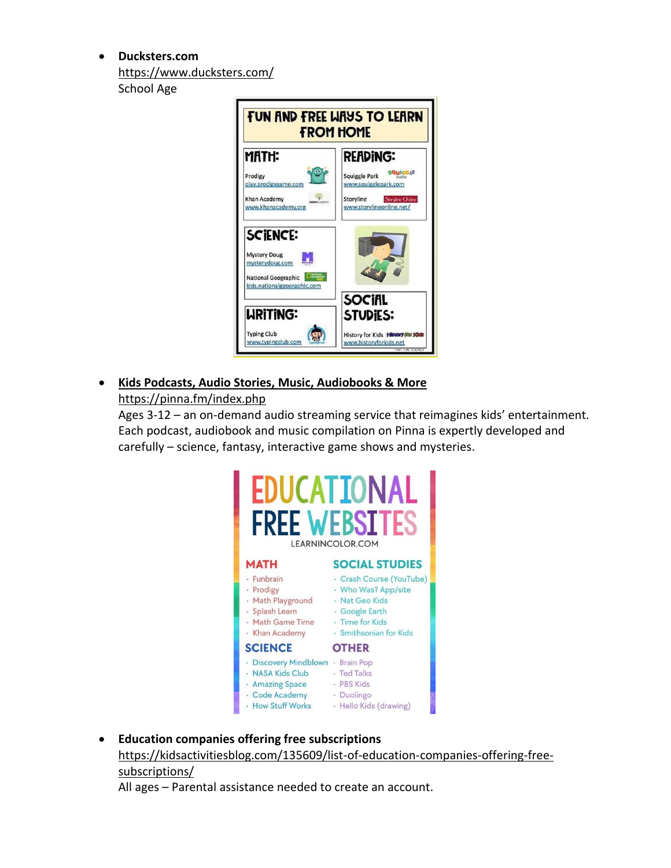• **Ducksters.com**  <https://www.ducksters.com/> School Age



• **Kids Podcasts, Audio Stories, Music, Audiobooks & More** <https://pinna.fm/index.php>

Ages 3-12 – an on-demand audio streaming service that reimagines kids' entertainment. Each podcast, audiobook and music compilation on Pinna is expertly developed and carefully – science, fantasy, interactive game shows and mysteries.



• **Education companies offering free subscriptions** [https://kidsactivitiesblog.com/135609/list-of-education-companies-offering-free](https://kidsactivitiesblog.com/135609/list-of-education-companies-offering-free-subscriptions/)[subscriptions/](https://kidsactivitiesblog.com/135609/list-of-education-companies-offering-free-subscriptions/)

All ages – Parental assistance needed to create an account.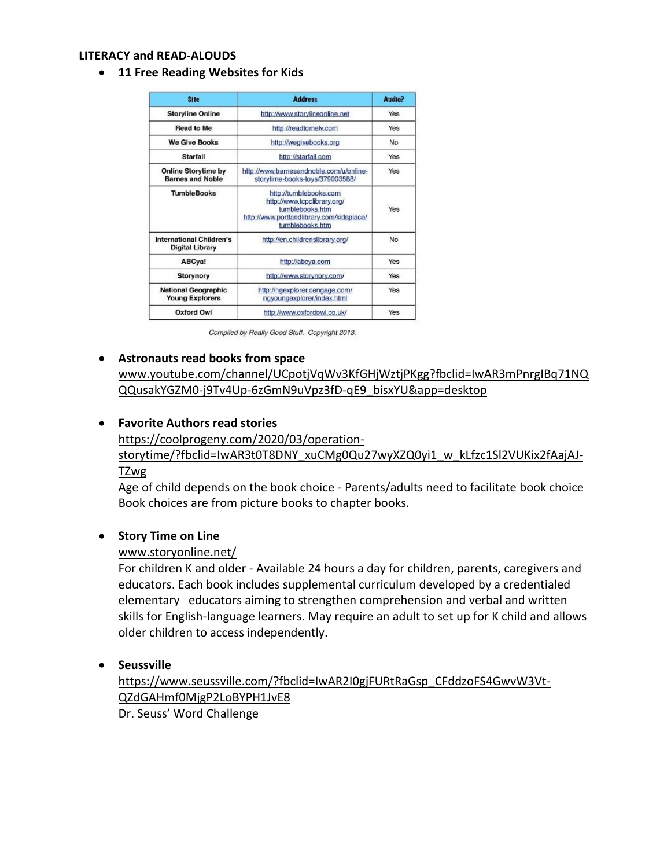#### **LITERACY and READ-ALOUDS**

• **11 Free Reading Websites for Kids**

| <b>Site</b>                                                                           | <b>Address</b>                                                                                                                           | Audio?<br>Yes<br>Yes |
|---------------------------------------------------------------------------------------|------------------------------------------------------------------------------------------------------------------------------------------|----------------------|
| <b>Storyline Online</b>                                                               | http://www.storylineonline.net                                                                                                           |                      |
| <b>Read to Me</b>                                                                     | http://readtomelv.com                                                                                                                    |                      |
| <b>We Give Books</b>                                                                  | http://wegivebooks.org                                                                                                                   | No                   |
| Starfall                                                                              | http://starfall.com                                                                                                                      | Yes                  |
| <b>Online Storytime by</b><br><b>Barnes and Noble</b>                                 | http://www.barnesandnoble.com/u/online-<br>storytime-books-toys/379003588/                                                               | Yes                  |
| <b>TumbleBooks</b>                                                                    | http://tumblebooks.com<br>http://www.tcpclibrary.org/<br>tumblebooks.htm<br>http://www.portlandlibrary.com/kidsplace/<br>tumblebooks.htm | Yes                  |
| <b>International Children's</b><br>http://en.childrenslibrary.org/<br>Digital Library |                                                                                                                                          | No                   |
| ABCya!<br>http://abcya.com                                                            |                                                                                                                                          | Yes                  |
| Storynory                                                                             | http://www.storynory.com/                                                                                                                |                      |
| <b>National Geographic</b><br><b>Young Explorers</b>                                  | http://ngexplorer.cengage.com/<br>ngyoungexplorer/index.html                                                                             |                      |
| <b>Oxford Owl</b><br>http://www.oxfordowl.co.uk/                                      |                                                                                                                                          | Yes                  |

Compiled by Really Good Stuff. Copyright 2013.

#### • **Astronauts read books from space**

[www.youtube.com/channel/UCpotjVqWv3KfGHjWztjPKgg?fbclid=IwAR3mPnrgIBq71NQ](http://www.youtube.com/channel/UCpotjVqWv3KfGHjWztjPKgg?fbclid=IwAR3mPnrgIBq71NQQQusakYGZM0-j9Tv4Up-6zGmN9uVpz3fD-qE9_bisxYU&app=desktop) [QQusakYGZM0-j9Tv4Up-6zGmN9uVpz3fD-qE9\\_bisxYU&app=desktop](http://www.youtube.com/channel/UCpotjVqWv3KfGHjWztjPKgg?fbclid=IwAR3mPnrgIBq71NQQQusakYGZM0-j9Tv4Up-6zGmN9uVpz3fD-qE9_bisxYU&app=desktop)

#### • **Favorite Authors read stories**

[https://coolprogeny.com/2020/03/operation-](https://coolprogeny.com/2020/03/operation-storytime/?fbclid=IwAR3t0T8DNY_xuCMg0Qu27wyXZQ0yi1_w_kLfzc1Sl2VUKix2fAajAJ-TZwg)

[storytime/?fbclid=IwAR3t0T8DNY\\_xuCMg0Qu27wyXZQ0yi1\\_w\\_kLfzc1Sl2VUKix2fAajAJ-](https://coolprogeny.com/2020/03/operation-storytime/?fbclid=IwAR3t0T8DNY_xuCMg0Qu27wyXZQ0yi1_w_kLfzc1Sl2VUKix2fAajAJ-TZwg)[TZwg](https://coolprogeny.com/2020/03/operation-storytime/?fbclid=IwAR3t0T8DNY_xuCMg0Qu27wyXZQ0yi1_w_kLfzc1Sl2VUKix2fAajAJ-TZwg)

Age of child depends on the book choice - Parents/adults need to facilitate book choice Book choices are from picture books to chapter books.

#### • **Story Time on Line**

#### [www.storyonline.net/](http://www.storyonline.net/)

For children K and older - Available 24 hours a day for children, parents, caregivers and educators. Each book includes supplemental curriculum developed by a credentialed elementary educators aiming to strengthen comprehension and verbal and written skills for English-language learners. May require an adult to set up for K child and allows older children to access independently.

#### • **Seussville**

[https://www.seussville.com/?fbclid=IwAR2I0gjFURtRaGsp\\_CFddzoFS4GwvW3Vt-](https://www.seussville.com/?fbclid=IwAR2I0gjFURtRaGsp_CFddzoFS4GwvW3Vt-QZdGAHmf0MjgP2LoBYPH1JvE8)[QZdGAHmf0MjgP2LoBYPH1JvE8](https://www.seussville.com/?fbclid=IwAR2I0gjFURtRaGsp_CFddzoFS4GwvW3Vt-QZdGAHmf0MjgP2LoBYPH1JvE8) Dr. Seuss' Word Challenge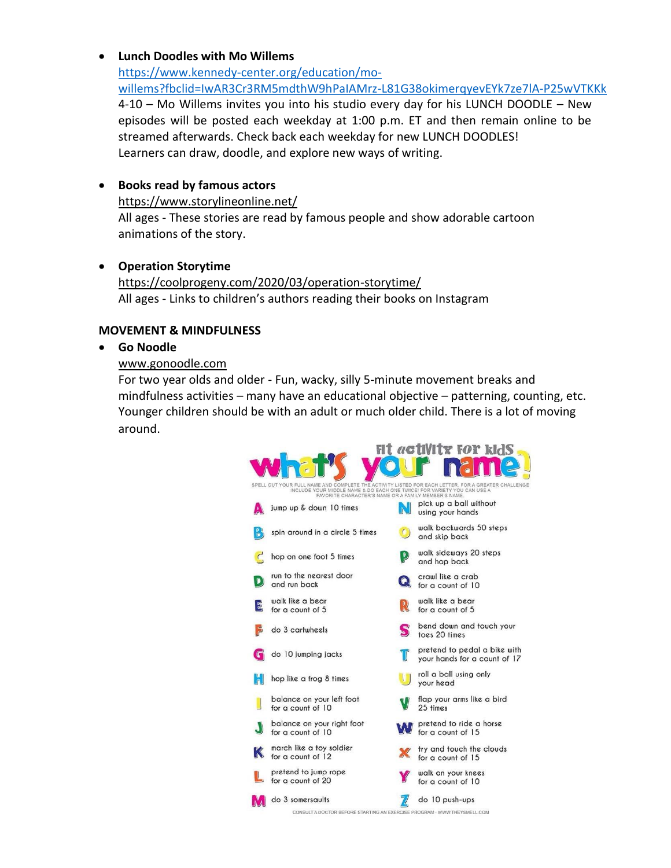## • **Lunch Doodles with Mo Willems**

[https://www.kennedy-center.org/education/mo](https://www.kennedy-center.org/education/mo-willems?fbclid=IwAR3Cr3RM5mdthW9hPaIAMrz-L81G38okimerqyevEYk7ze7lA-P25wVTKKk)[willems?fbclid=IwAR3Cr3RM5mdthW9hPaIAMrz-L81G38okimerqyevEYk7ze7lA-P25wVTKKk](https://www.kennedy-center.org/education/mo-willems?fbclid=IwAR3Cr3RM5mdthW9hPaIAMrz-L81G38okimerqyevEYk7ze7lA-P25wVTKKk) 4-10 – Mo Willems invites you into his studio every day for his LUNCH DOODLE – New episodes will be posted each weekday at 1:00 p.m. ET and then remain online to be streamed afterwards. Check back each weekday for new LUNCH DOODLES! Learners can draw, doodle, and explore new ways of writing.

## • **Books read by famous actors**

<https://www.storylineonline.net/>

All ages - These stories are read by famous people and show adorable cartoon animations of the story.

### • **Operation Storytime**

<https://coolprogeny.com/2020/03/operation-storytime/> All ages - Links to children's authors reading their books on Instagram

#### **MOVEMENT & MINDFULNESS**

#### • **Go Noodle**

#### [www.gonoodle.com](http://www.gonoodle.com/)

For two year olds and older - Fun, wacky, silly 5-minute movement breaks and mindfulness activities – many have an educational objective – patterning, counting, etc. Younger children should be with an adult or much older child. There is a lot of moving around.

|                                                                                                                                                                                                                                      |                                                                                              |           | <i>activity for kids</i>                                     |  |  |  |
|--------------------------------------------------------------------------------------------------------------------------------------------------------------------------------------------------------------------------------------|----------------------------------------------------------------------------------------------|-----------|--------------------------------------------------------------|--|--|--|
|                                                                                                                                                                                                                                      |                                                                                              |           |                                                              |  |  |  |
| SPELL OUT YOUR FULL NAME AND COMPLETE THE ACTIVITY LISTED FOR EACH LETTER. FOR A GREATER CHALLENGE<br>INCLUDE YOUR MIDDLE NAME & DO EACH ONE TWICE! FOR VARIETY YOU CAN USE A<br>FAVORITE CHARACTER'S NAME OR A FAMILY MEMBER'S NAME |                                                                                              |           |                                                              |  |  |  |
|                                                                                                                                                                                                                                      | jump up & down 10 times                                                                      |           | pick up a ball without<br>using your hands                   |  |  |  |
| $\bullet$                                                                                                                                                                                                                            | spin around in a circle 5 times                                                              | $\bullet$ | walk backwards 50 steps<br>and skip back                     |  |  |  |
|                                                                                                                                                                                                                                      | hop on one foot 5 times                                                                      |           | walk sideways 20 steps<br>and hop back                       |  |  |  |
|                                                                                                                                                                                                                                      | run to the nearest door<br>and run back                                                      |           | crawl like a crab<br>for a count of 10                       |  |  |  |
| E                                                                                                                                                                                                                                    | walk like a bear<br>for a count of 5                                                         |           | walk like a bear<br>for a count of 5                         |  |  |  |
|                                                                                                                                                                                                                                      | do 3 cartwheels                                                                              |           | bend down and touch your<br>toes 20 times                    |  |  |  |
|                                                                                                                                                                                                                                      | do 10 jumping jacks                                                                          |           | pretend to pedal a bike with<br>your hands for a count of 17 |  |  |  |
|                                                                                                                                                                                                                                      | hop like a frog 8 times                                                                      |           | roll a ball using only<br>your head                          |  |  |  |
|                                                                                                                                                                                                                                      | balance on your left foot<br>for a count of 10                                               |           | flap your arms like a bird<br>25 times                       |  |  |  |
|                                                                                                                                                                                                                                      | balance on your right foot<br>for a count of 10                                              |           | pretend to ride a horse<br>for a count of 15                 |  |  |  |
|                                                                                                                                                                                                                                      | march like a toy soldier<br>for a count of 12                                                |           | try and touch the clouds<br>for a count of 15                |  |  |  |
|                                                                                                                                                                                                                                      | pretend to jump rope<br>for a count of 20                                                    |           | walk on your knees<br>for a count of 10                      |  |  |  |
|                                                                                                                                                                                                                                      | do 3 somersaults<br>CONSULT A DOCTOR BEFORE STARTING AN EXERCISE PROGRAM - WWW.THEYSMELL.COM |           | do 10 push-ups                                               |  |  |  |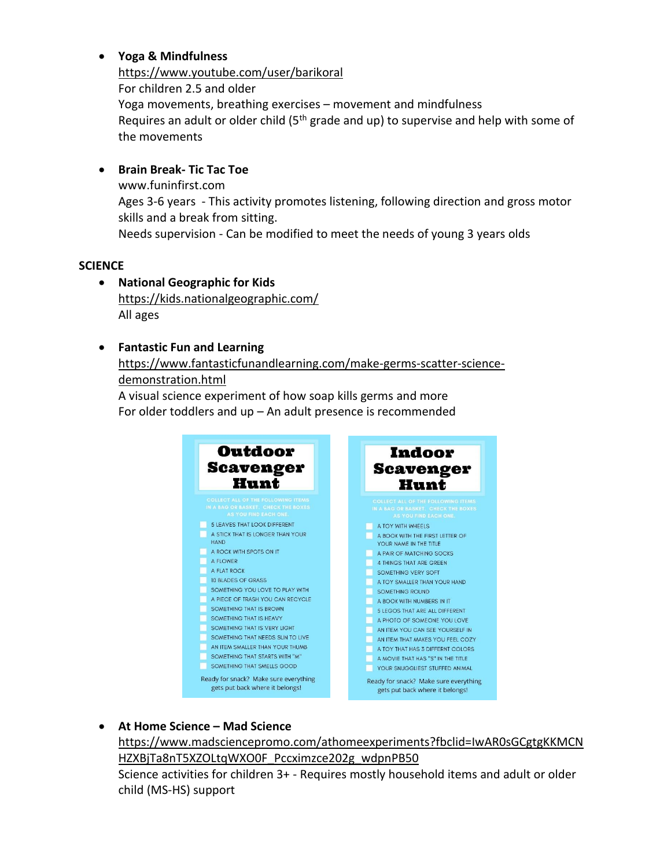## • **Yoga & Mindfulness**

<https://www.youtube.com/user/barikoral> For children 2.5 and older Yoga movements, breathing exercises – movement and mindfulness Requires an adult or older child  $(5<sup>th</sup>$  grade and up) to supervise and help with some of the movements

## • **Brain Break- Tic Tac Toe**

www.funinfirst.com Ages 3-6 years - This activity promotes listening, following direction and gross motor skills and a break from sitting. Needs supervision - Can be modified to meet the needs of young 3 years olds

### **SCIENCE**

• **National Geographic for Kids** <https://kids.nationalgeographic.com/> All ages

## • **Fantastic Fun and Learning**

[https://www.fantasticfunandlearning.com/make-germs-scatter-science](https://www.fantasticfunandlearning.com/make-germs-scatter-science-demonstration.html)[demonstration.html](https://www.fantasticfunandlearning.com/make-germs-scatter-science-demonstration.html) A visual science experiment of how soap kills germs and more

For older toddlers and up – An adult presence is recommended



• **At Home Science – Mad Science**

[https://www.madsciencepromo.com/athomeexperiments?fbclid=IwAR0sGCgtgKKMCN](https://www.madsciencepromo.com/athomeexperiments?fbclid=IwAR0sGCgtgKKMCNHZXBjTa8nT5XZOLtqWXO0F_Pccximzce202g_wdpnPB50) HZXBjTa8nT5XZOLtqWXO0F Pccximzce202g\_wdpnPB50 Science activities for children 3+ - Requires mostly household items and adult or older child (MS-HS) support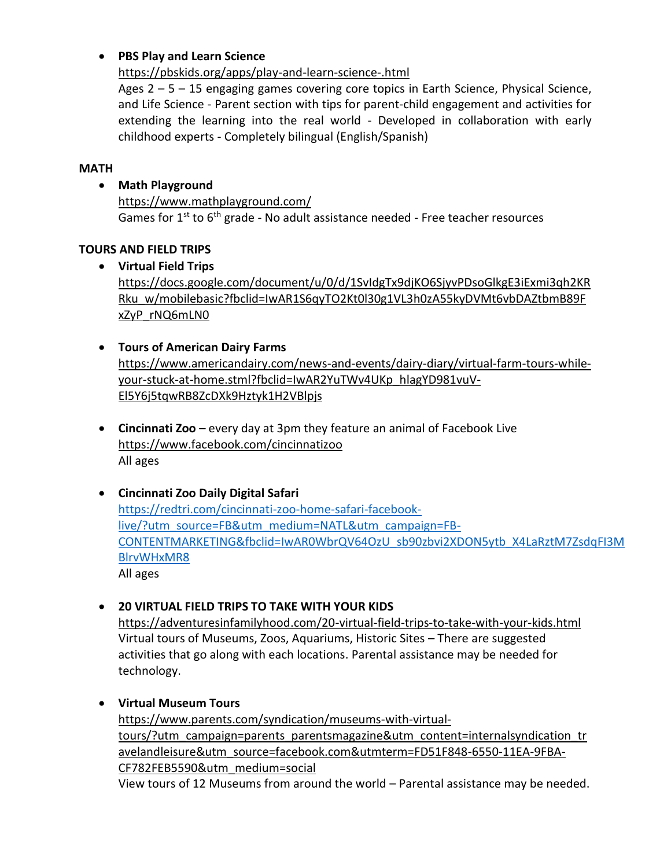## • **PBS Play and Learn Science**

<https://pbskids.org/apps/play-and-learn-science-.html>

Ages 2 – 5 – 15 engaging games covering core topics in Earth Science, Physical Science, and Life Science - Parent section with tips for parent-child engagement and activities for extending the learning into the real world - Developed in collaboration with early childhood experts - Completely bilingual (English/Spanish)

## **MATH**

• **Math Playground**

<https://www.mathplayground.com/> Games for  $1^{st}$  to  $6^{th}$  grade - No adult assistance needed - Free teacher resources

## **TOURS AND FIELD TRIPS**

• **Virtual Field Trips**

[https://docs.google.com/document/u/0/d/1SvIdgTx9djKO6SjyvPDsoGlkgE3iExmi3qh2KR](https://docs.google.com/document/u/0/d/1SvIdgTx9djKO6SjyvPDsoGlkgE3iExmi3qh2KRRku_w/mobilebasic?fbclid=IwAR1S6qyTO2Kt0l30g1VL3h0zA55kyDVMt6vbDAZtbmB89FxZyP_rNQ6mLN0) [Rku\\_w/mobilebasic?fbclid=IwAR1S6qyTO2Kt0l30g1VL3h0zA55kyDVMt6vbDAZtbmB89F](https://docs.google.com/document/u/0/d/1SvIdgTx9djKO6SjyvPDsoGlkgE3iExmi3qh2KRRku_w/mobilebasic?fbclid=IwAR1S6qyTO2Kt0l30g1VL3h0zA55kyDVMt6vbDAZtbmB89FxZyP_rNQ6mLN0) [xZyP\\_rNQ6mLN0](https://docs.google.com/document/u/0/d/1SvIdgTx9djKO6SjyvPDsoGlkgE3iExmi3qh2KRRku_w/mobilebasic?fbclid=IwAR1S6qyTO2Kt0l30g1VL3h0zA55kyDVMt6vbDAZtbmB89FxZyP_rNQ6mLN0)

• **Tours of American Dairy Farms**

[https://www.americandairy.com/news-and-events/dairy-diary/virtual-farm-tours-while](https://www.americandairy.com/news-and-events/dairy-diary/virtual-farm-tours-while-your-stuck-at-home.stml?fbclid=IwAR2YuTWv4UKp_hlagYD981vuV-El5Y6j5tqwRB8ZcDXk9Hztyk1H2VBlpjs)[your-stuck-at-home.stml?fbclid=IwAR2YuTWv4UKp\\_hlagYD981vuV-](https://www.americandairy.com/news-and-events/dairy-diary/virtual-farm-tours-while-your-stuck-at-home.stml?fbclid=IwAR2YuTWv4UKp_hlagYD981vuV-El5Y6j5tqwRB8ZcDXk9Hztyk1H2VBlpjs)[El5Y6j5tqwRB8ZcDXk9Hztyk1H2VBlpjs](https://www.americandairy.com/news-and-events/dairy-diary/virtual-farm-tours-while-your-stuck-at-home.stml?fbclid=IwAR2YuTWv4UKp_hlagYD981vuV-El5Y6j5tqwRB8ZcDXk9Hztyk1H2VBlpjs)

- **Cincinnati Zoo** every day at 3pm they feature an animal of Facebook Live <https://www.facebook.com/cincinnatizoo> All ages
- **Cincinnati Zoo Daily Digital Safari**

[https://redtri.com/cincinnati-zoo-home-safari-facebook](https://redtri.com/cincinnati-zoo-home-safari-facebook-live/?utm_source=FB&utm_medium=NATL&utm_campaign=FB-CONTENTMARKETING&fbclid=IwAR0WbrQV64OzU_sb90zbvi2XDON5ytb_X4LaRztM7ZsdqFI3MBlrvWHxMR8)[live/?utm\\_source=FB&utm\\_medium=NATL&utm\\_campaign=FB-](https://redtri.com/cincinnati-zoo-home-safari-facebook-live/?utm_source=FB&utm_medium=NATL&utm_campaign=FB-CONTENTMARKETING&fbclid=IwAR0WbrQV64OzU_sb90zbvi2XDON5ytb_X4LaRztM7ZsdqFI3MBlrvWHxMR8)[CONTENTMARKETING&fbclid=IwAR0WbrQV64OzU\\_sb90zbvi2XDON5ytb\\_X4LaRztM7ZsdqFI3M](https://redtri.com/cincinnati-zoo-home-safari-facebook-live/?utm_source=FB&utm_medium=NATL&utm_campaign=FB-CONTENTMARKETING&fbclid=IwAR0WbrQV64OzU_sb90zbvi2XDON5ytb_X4LaRztM7ZsdqFI3MBlrvWHxMR8) [BlrvWHxMR8](https://redtri.com/cincinnati-zoo-home-safari-facebook-live/?utm_source=FB&utm_medium=NATL&utm_campaign=FB-CONTENTMARKETING&fbclid=IwAR0WbrQV64OzU_sb90zbvi2XDON5ytb_X4LaRztM7ZsdqFI3MBlrvWHxMR8) All ages

## • **20 VIRTUAL FIELD TRIPS TO TAKE WITH YOUR KIDS**

<https://adventuresinfamilyhood.com/20-virtual-field-trips-to-take-with-your-kids.html> Virtual tours of Museums, Zoos, Aquariums, Historic Sites – There are suggested activities that go along with each locations. Parental assistance may be needed for technology.

• **Virtual Museum Tours**

[https://www.parents.com/syndication/museums-with-virtual](https://www.parents.com/syndication/museums-with-virtual-tours/?utm_campaign=parents_parentsmagazine&utm_content=internalsyndication_travelandleisure&utm_source=facebook.com&utmterm=FD51F848-6550-11EA-9FBA-CF782FEB5590&utm_medium=social)[tours/?utm\\_campaign=parents\\_parentsmagazine&utm\\_content=internalsyndication\\_tr](https://www.parents.com/syndication/museums-with-virtual-tours/?utm_campaign=parents_parentsmagazine&utm_content=internalsyndication_travelandleisure&utm_source=facebook.com&utmterm=FD51F848-6550-11EA-9FBA-CF782FEB5590&utm_medium=social) [avelandleisure&utm\\_source=facebook.com&utmterm=FD51F848-6550-11EA-9FBA-](https://www.parents.com/syndication/museums-with-virtual-tours/?utm_campaign=parents_parentsmagazine&utm_content=internalsyndication_travelandleisure&utm_source=facebook.com&utmterm=FD51F848-6550-11EA-9FBA-CF782FEB5590&utm_medium=social)[CF782FEB5590&utm\\_medium=social](https://www.parents.com/syndication/museums-with-virtual-tours/?utm_campaign=parents_parentsmagazine&utm_content=internalsyndication_travelandleisure&utm_source=facebook.com&utmterm=FD51F848-6550-11EA-9FBA-CF782FEB5590&utm_medium=social)

View tours of 12 Museums from around the world – Parental assistance may be needed.